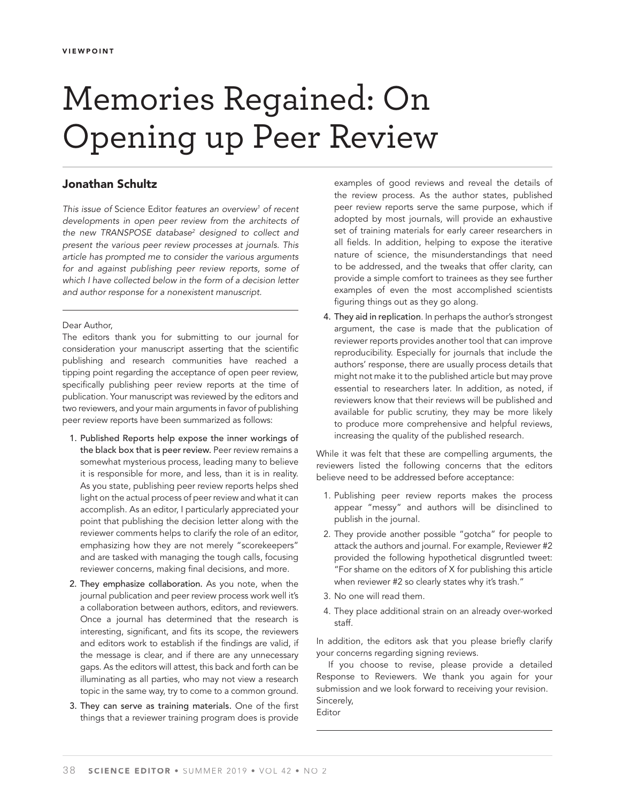# Memories Regained: On Opening up Peer Review

## **Jonathan Schultz**

This issue of Science Editor features an overview<sup>1</sup> of recent developments in open peer review from the architects of the new TRANSPOSE database<sup>2</sup> designed to collect and present the various peer review processes at journals. This article has prompted me to consider the various arguments for and against publishing peer review reports, some of which I have collected below in the form of a decision letter and author response for a nonexistent manuscript.

#### Dear Author,

The editors thank you for submitting to our journal for consideration your manuscript asserting that the scientific publishing and research communities have reached a tipping point regarding the acceptance of open peer review, specifically publishing peer review reports at the time of publication. Your manuscript was reviewed by the editors and two reviewers, and your main arguments in favor of publishing peer review reports have been summarized as follows:

- 1. Published Reports help expose the inner workings of the black box that is peer review. Peer review remains a somewhat mysterious process, leading many to believe it is responsible for more, and less, than it is in reality. As you state, publishing peer review reports helps shed light on the actual process of peer review and what it can accomplish. As an editor, I particularly appreciated your point that publishing the decision letter along with the reviewer comments helps to clarify the role of an editor, emphasizing how they are not merely "scorekeepers" and are tasked with managing the tough calls, focusing reviewer concerns, making final decisions, and more.
- 2. They emphasize collaboration. As you note, when the journal publication and peer review process work well it's a collaboration between authors, editors, and reviewers. Once a journal has determined that the research is interesting, significant, and fits its scope, the reviewers and editors work to establish if the findings are valid, if the message is clear, and if there are any unnecessary gaps. As the editors will attest, this back and forth can be illuminating as all parties, who may not view a research topic in the same way, try to come to a common ground.
- 3. They can serve as training materials. One of the first things that a reviewer training program does is provide

examples of good reviews and reveal the details of the review process. As the author states, published peer review reports serve the same purpose, which if adopted by most journals, will provide an exhaustive set of training materials for early career researchers in all fields. In addition, helping to expose the iterative nature of science, the misunderstandings that need to be addressed, and the tweaks that offer clarity, can provide a simple comfort to trainees as they see further examples of even the most accomplished scientists figuring things out as they go along.

4. They aid in replication. In perhaps the author's strongest argument, the case is made that the publication of reviewer reports provides another tool that can improve reproducibility. Especially for journals that include the authors' response, there are usually process details that might not make it to the published article but may prove essential to researchers later. In addition, as noted, if reviewers know that their reviews will be published and available for public scrutiny, they may be more likely to produce more comprehensive and helpful reviews, increasing the quality of the published research.

While it was felt that these are compelling arguments, the reviewers listed the following concerns that the editors believe need to be addressed before acceptance:

- 1. Publishing peer review reports makes the process appear "messy" and authors will be disinclined to publish in the journal.
- 2. They provide another possible "gotcha" for people to attack the authors and journal. For example, Reviewer #2 provided the following hypothetical disgruntled tweet: "For shame on the editors of X for publishing this article when reviewer #2 so clearly states why it's trash."
- 3. No one will read them.
- 4. They place additional strain on an already over-worked staff.

In addition, the editors ask that you please briefly clarify your concerns regarding signing reviews.

If you choose to revise, please provide a detailed Response to Reviewers. We thank you again for your submission and we look forward to receiving your revision. Sincerely,

Editor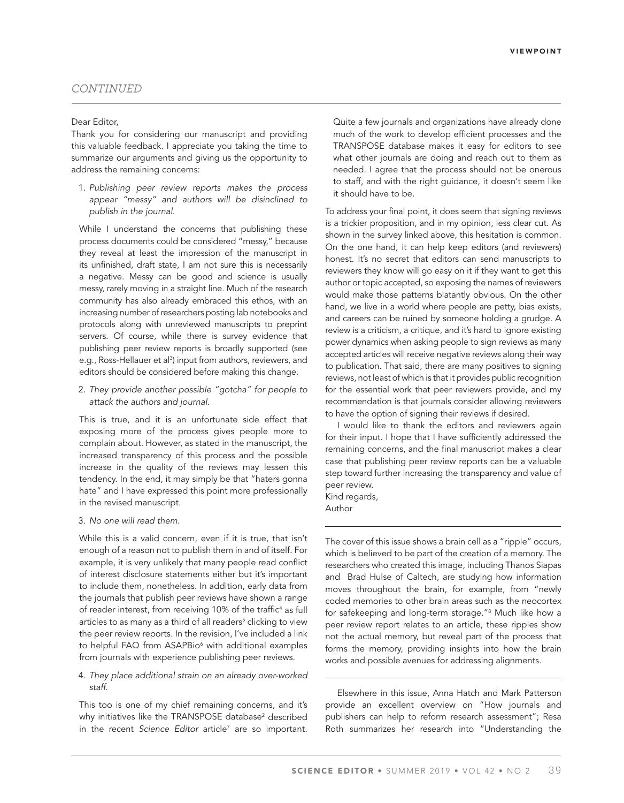### *CONTINUED*

#### Dear Editor,

Thank you for considering our manuscript and providing this valuable feedback. I appreciate you taking the time to summarize our arguments and giving us the opportunity to address the remaining concerns:

1. Publishing peer review reports makes the process appear "messy" and authors will be disinclined to publish in the journal.

While I understand the concerns that publishing these process documents could be considered "messy," because they reveal at least the impression of the manuscript in its unfinished, draft state, I am not sure this is necessarily a negative. Messy can be good and science is usually messy, rarely moving in a straight line. Much of the research community has also already embraced this ethos, with an increasing number of researchers posting lab notebooks and protocols along with unreviewed manuscripts to preprint servers. Of course, while there is survey evidence that publishing peer review reports is broadly supported (see e.g., Ross-Hellauer et al<sup>3</sup>) input from authors, reviewers, and editors should be considered before making this change.

2. They provide another possible "gotcha" for people to attack the authors and journal.

This is true, and it is an unfortunate side effect that exposing more of the process gives people more to complain about. However, as stated in the manuscript, the increased transparency of this process and the possible increase in the quality of the reviews may lessen this tendency. In the end, it may simply be that "haters gonna hate" and I have expressed this point more professionally in the revised manuscript.

3. No one will read them.

While this is a valid concern, even if it is true, that isn't enough of a reason not to publish them in and of itself. For example, it is very unlikely that many people read conflict of interest disclosure statements either but it's important to include them, nonetheless. In addition, early data from the journals that publish peer reviews have shown a range of reader interest, from receiving 10% of the traffic $4$  as full articles to as many as a third of all readers<sup>5</sup> clicking to view the peer review reports. In the revision, I've included a link to helpful FAQ from ASAPBio<sup>6</sup> with additional examples from journals with experience publishing peer reviews.

4. They place additional strain on an already over-worked staff.

This too is one of my chief remaining concerns, and it's why initiatives like the TRANSPOSE database<sup>2</sup> described in the recent Science Editor article<sup>7</sup> are so important. Quite a few journals and organizations have already done much of the work to develop efficient processes and the TRANSPOSE database makes it easy for editors to see what other journals are doing and reach out to them as needed. I agree that the process should not be onerous to staff, and with the right guidance, it doesn't seem like it should have to be.

To address your final point, it does seem that signing reviews is a trickier proposition, and in my opinion, less clear cut. As shown in the survey linked above, this hesitation is common. On the one hand, it can help keep editors (and reviewers) honest. It's no secret that editors can send manuscripts to reviewers they know will go easy on it if they want to get this author or topic accepted, so exposing the names of reviewers would make those patterns blatantly obvious. On the other hand, we live in a world where people are petty, bias exists, and careers can be ruined by someone holding a grudge. A review is a criticism, a critique, and it's hard to ignore existing power dynamics when asking people to sign reviews as many accepted articles will receive negative reviews along their way to publication. That said, there are many positives to signing reviews, not least of which is that it provides public recognition for the essential work that peer reviewers provide, and my recommendation is that journals consider allowing reviewers to have the option of signing their reviews if desired.

I would like to thank the editors and reviewers again for their input. I hope that I have sufficiently addressed the remaining concerns, and the final manuscript makes a clear case that publishing peer review reports can be a valuable step toward further increasing the transparency and value of peer review.

Kind regards, Author

The cover of this issue shows a brain cell as a "ripple" occurs, which is believed to be part of the creation of a memory. The researchers who created this image, including Thanos Siapas and Brad Hulse of Caltech, are studying how information moves throughout the brain, for example, from "newly coded memories to other brain areas such as the neocortex for safekeeping and long-term storage."8 Much like how a peer review report relates to an article, these ripples show not the actual memory, but reveal part of the process that forms the memory, providing insights into how the brain works and possible avenues for addressing alignments.

Elsewhere in this issue, Anna Hatch and Mark Patterson provide an excellent overview on "How journals and publishers can help to reform research assessment"; Resa Roth summarizes her research into "Understanding the